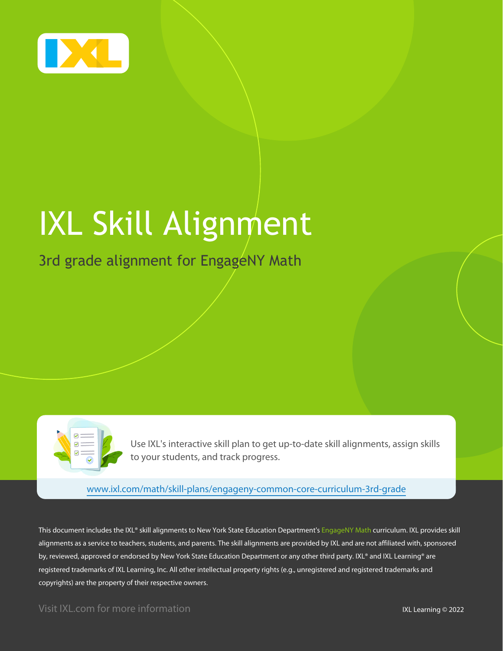

# IXL Skill Alignment

### 3rd grade alignment for EngageNY Math

Use IXL's interactive skill plan to get up-to-date skill alignments, assign skills to your students, and track progress.

[www.ixl.com/math/skill-plans/engageny-common-core-curriculum-3rd-grade](https://www.ixl.com/math/skill-plans/engageny-common-core-curriculum-3rd-grade)

This document includes the IXL® skill alignments to New York State Education Department's EngageNY Math curriculum. IXL provides skill alignments as a service to teachers, students, and parents. The skill alignments are provided by IXL and are not affiliated with, sponsored by, reviewed, approved or endorsed by New York State Education Department or any other third party. IXL® and IXL Learning® are registered trademarks of IXL Learning, Inc. All other intellectual property rights (e.g., unregistered and registered trademarks and copyrights) are the property of their respective owners.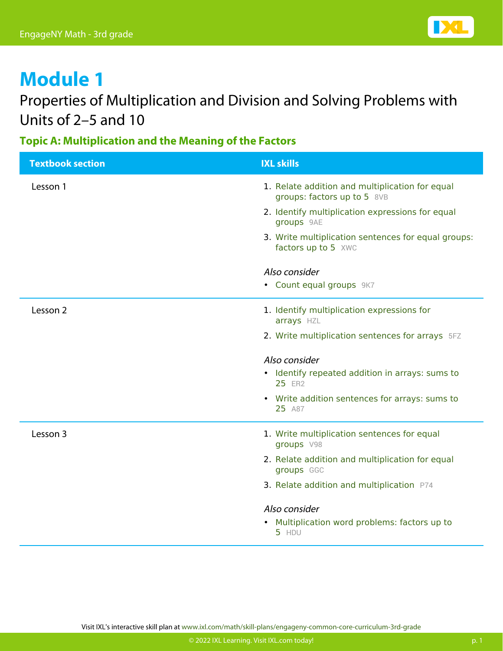### Properties of Multiplication and Division and Solving Problems with Units of 2–5 and 10

**Topic A: Multiplication and the Meaning of the Factors**

| <b>Textbook section</b> | <b>IXL skills</b>                                                              |
|-------------------------|--------------------------------------------------------------------------------|
| Lesson 1                | 1. Relate addition and multiplication for equal<br>groups: factors up to 5 8VB |
|                         | 2. Identify multiplication expressions for equal<br>groups 9AE                 |
|                         | 3. Write multiplication sentences for equal groups:<br>factors up to 5 XWC     |
|                         | Also consider                                                                  |
|                         | • Count equal groups 9K7                                                       |
| Lesson 2                | 1. Identify multiplication expressions for<br>arrays HZL                       |
|                         | 2. Write multiplication sentences for arrays 5FZ                               |
|                         | Also consider                                                                  |
|                         | • Identify repeated addition in arrays: sums to<br>25 ER2                      |
|                         | • Write addition sentences for arrays: sums to<br>25 A87                       |
| Lesson 3                | 1. Write multiplication sentences for equal<br>groups V98                      |
|                         | 2. Relate addition and multiplication for equal<br>groups GGC                  |
|                         | 3. Relate addition and multiplication P74                                      |
|                         | Also consider                                                                  |
|                         | • Multiplication word problems: factors up to<br>5 HDU                         |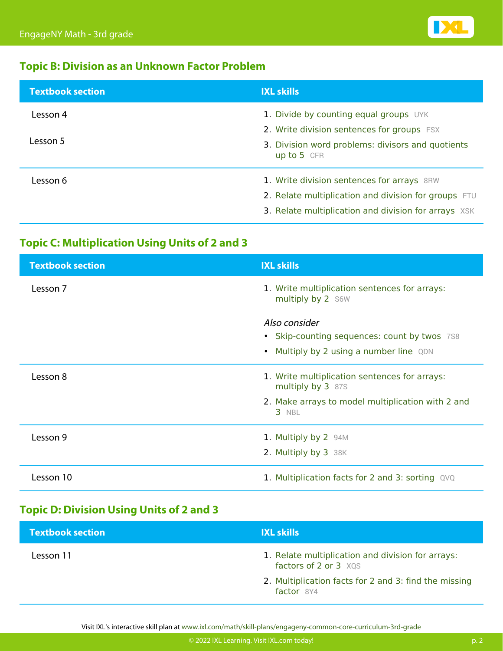

### **Topic B: Division as an Unknown Factor Problem**

| <b>Textbook section</b> | <b>IXL skills</b>                                                                                                                                          |
|-------------------------|------------------------------------------------------------------------------------------------------------------------------------------------------------|
| Lesson 4                | 1. Divide by counting equal groups UYK<br>2. Write division sentences for groups FSX                                                                       |
| Lesson 5                | 3. Division word problems: divisors and quotients<br>up to 5 CFR                                                                                           |
| Lesson 6                | 1. Write division sentences for arrays 8RW<br>2. Relate multiplication and division for groups FTU<br>3. Relate multiplication and division for arrays XSK |

### **Topic C: Multiplication Using Units of 2 and 3**

| <b>Textbook section</b> | <b>IXL skills</b>                                                  |
|-------------------------|--------------------------------------------------------------------|
| Lesson 7                | 1. Write multiplication sentences for arrays:<br>multiply by 2 S6W |
|                         | Also consider                                                      |
|                         | • Skip-counting sequences: count by twos 7S8                       |
|                         | Multiply by 2 using a number line QDN<br>$\bullet$                 |
| Lesson 8                | 1. Write multiplication sentences for arrays:<br>multiply by 3 87S |
|                         | 2. Make arrays to model multiplication with 2 and<br>3 NBL         |
| Lesson 9                | 1. Multiply by 2 94M                                               |
|                         | 2. Multiply by 3 38K                                               |
| Lesson 10               | 1. Multiplication facts for 2 and 3: sorting QVQ                   |

### **Topic D: Division Using Units of 2 and 3**

| <b>Textbook section</b> | <b>IXL skills</b>                                                          |
|-------------------------|----------------------------------------------------------------------------|
| Lesson 11               | 1. Relate multiplication and division for arrays:<br>factors of 2 or 3 XQS |
|                         | 2. Multiplication facts for 2 and 3: find the missing<br>$factor$ 8Y4      |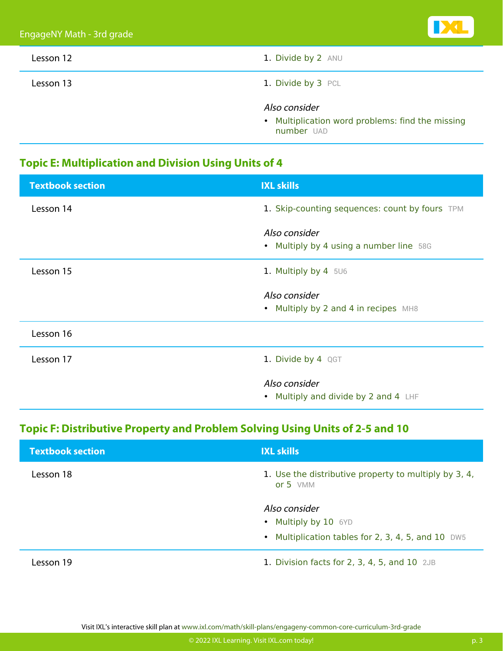| Lesson 12 | 1. Divide by 2 ANU                                                              |
|-----------|---------------------------------------------------------------------------------|
| Lesson 13 | 1. Divide by 3 PCL                                                              |
|           | Also consider<br>• Multiplication word problems: find the missing<br>number UAD |

### **Topic E: Multiplication and Division Using Units of 4**

| <b>Textbook section</b> | <b>IXL skills</b>                                        |
|-------------------------|----------------------------------------------------------|
| Lesson 14               | 1. Skip-counting sequences: count by fours TPM           |
|                         | Also consider<br>• Multiply by 4 using a number line 58G |
| Lesson 15               | 1. Multiply by 4 5U6                                     |
|                         | Also consider                                            |
|                         | • Multiply by 2 and 4 in recipes MH8                     |
| Lesson 16               |                                                          |
| Lesson 17               | 1. Divide by 4 QGT                                       |
|                         | Also consider                                            |
|                         | • Multiply and divide by 2 and 4 LHF                     |

### **Topic F: Distributive Property and Problem Solving Using Units of 2-5 and 10**

| <b>Textbook section</b> | <b>IXL skills</b>                                                                           |
|-------------------------|---------------------------------------------------------------------------------------------|
| Lesson 18               | 1. Use the distributive property to multiply by 3, 4,<br>or $5$ VMM                         |
|                         | Also consider<br>• Multiply by 10 6YD<br>• Multiplication tables for 2, 3, 4, 5, and 10 DW5 |
| Lesson 19               | 1. Division facts for 2, 3, 4, 5, and 10 2JB                                                |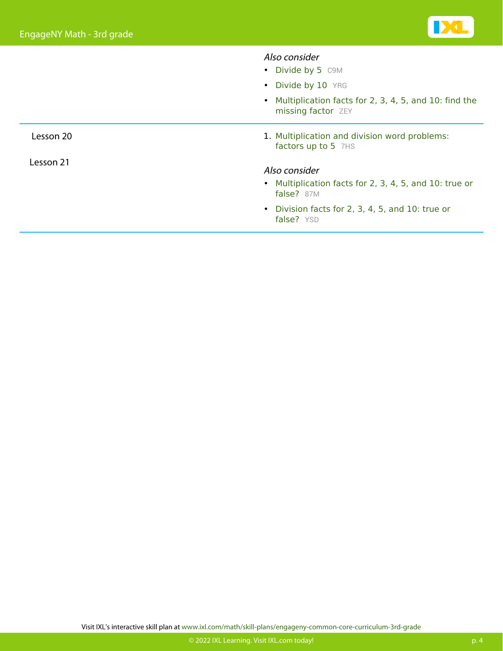|           | Also consider                                                                 |
|-----------|-------------------------------------------------------------------------------|
|           | • Divide by 5 C9M                                                             |
|           | • Divide by 10 YRG                                                            |
|           | • Multiplication facts for 2, 3, 4, 5, and 10: find the<br>missing factor ZEY |
| Lesson 20 | 1. Multiplication and division word problems:<br>factors up to 5 7HS          |
| Lesson 21 | Also consider                                                                 |
|           | • Multiplication facts for 2, 3, 4, 5, and 10: true or<br>false? 87M          |
|           | • Division facts for 2, 3, 4, 5, and 10: true or<br>false? YSD                |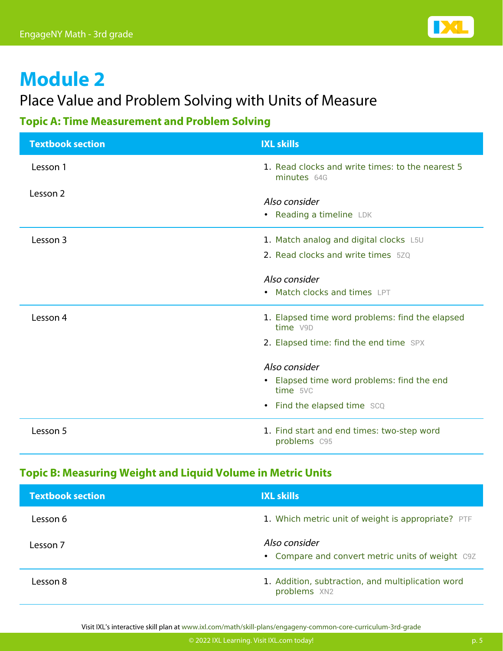

### Place Value and Problem Solving with Units of Measure

### **Topic A: Time Measurement and Problem Solving**

| <b>Textbook section</b> | <b>IXL skills</b>                                               |
|-------------------------|-----------------------------------------------------------------|
| Lesson 1                | 1. Read clocks and write times: to the nearest 5<br>minutes 64G |
| Lesson 2                | Also consider<br>• Reading a timeline LDK                       |
| Lesson 3                | 1. Match analog and digital clocks L5U                          |
|                         | 2. Read clocks and write times 520                              |
|                         | Also consider                                                   |
|                         | • Match clocks and times LPT                                    |
| Lesson 4                | 1. Elapsed time word problems: find the elapsed<br>time V9D     |
|                         | 2. Elapsed time: find the end time SPX                          |
|                         | Also consider                                                   |
|                         | • Elapsed time word problems: find the end<br>time 5VC          |
|                         | • Find the elapsed time SCQ                                     |
| Lesson 5                | 1. Find start and end times: two-step word<br>problems C95      |

#### **Topic B: Measuring Weight and Liquid Volume in Metric Units**

| <b>Textbook section</b> | <b>IXL skills</b>                                                 |
|-------------------------|-------------------------------------------------------------------|
| Lesson 6                | 1. Which metric unit of weight is appropriate? PTF                |
| Lesson 7                | Also consider<br>• Compare and convert metric units of weight C9Z |
| Lesson 8                | 1. Addition, subtraction, and multiplication word<br>problems XN2 |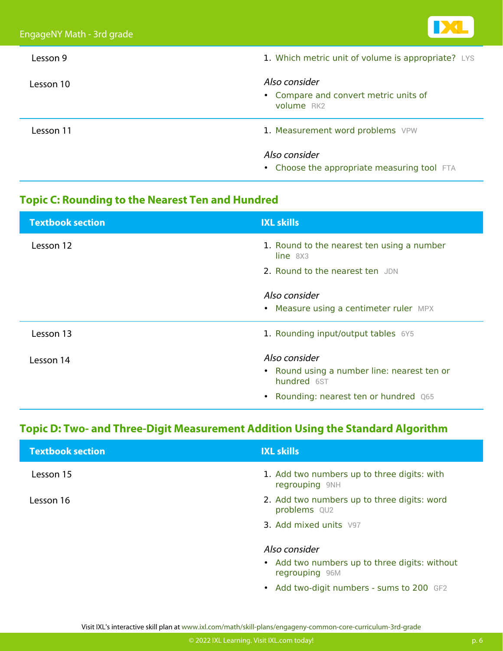| Lesson 9  | 1. Which metric unit of volume is appropriate? LYS                   |
|-----------|----------------------------------------------------------------------|
| Lesson 10 | Also consider<br>• Compare and convert metric units of<br>volume RK2 |
| Lesson 11 | 1. Measurement word problems VPW                                     |
|           | Also consider<br>• Choose the appropriate measuring tool FTA         |

### **Topic C: Rounding to the Nearest Ten and Hundred**

| <b>Textbook section</b> | <b>IXL skills</b>                                          |
|-------------------------|------------------------------------------------------------|
| Lesson 12               | 1. Round to the nearest ten using a number<br>line 8X3     |
|                         | 2. Round to the nearest ten JDN                            |
|                         | Also consider                                              |
|                         | • Measure using a centimeter ruler MPX                     |
| Lesson 13               | 1. Rounding input/output tables 6Y5                        |
| Lesson 14               | Also consider                                              |
|                         | • Round using a number line: nearest ten or<br>hundred 6ST |
|                         | Rounding: nearest ten or hundred Q65                       |

### **Topic D: Two- and Three-Digit Measurement Addition Using the Standard Algorithm**

| <b>Textbook section</b> | <b>IXL skills</b>                                               |
|-------------------------|-----------------------------------------------------------------|
| Lesson 15               | 1. Add two numbers up to three digits: with<br>regrouping 9NH   |
| Lesson 16               | 2. Add two numbers up to three digits: word<br>problems QU2     |
|                         | <b>3. Add mixed units V97</b>                                   |
|                         | Also consider                                                   |
|                         | • Add two numbers up to three digits: without<br>regrouping 96M |
|                         | • Add two-digit numbers - sums to 200 GF2                       |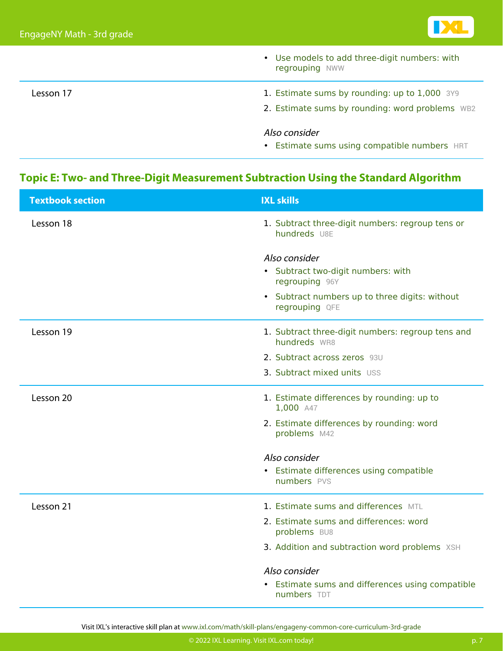

|           | • Use models to add three-digit numbers: with<br>regrouping NWW |
|-----------|-----------------------------------------------------------------|
| Lesson 17 | 1. Estimate sums by rounding: up to 1,000 3Y9                   |
|           | 2. Estimate sums by rounding: word problems WB2                 |
|           | Also consider                                                   |
|           | • Estimate sums using compatible numbers HRT                    |

### **Topic E: Two- and Three-Digit Measurement Subtraction Using the Standard Algorithm**

| <b>Textbook section</b> | <b>IXL skills</b>                                                 |
|-------------------------|-------------------------------------------------------------------|
| Lesson 18               | 1. Subtract three-digit numbers: regroup tens or<br>hundreds U8E  |
|                         | Also consider                                                     |
|                         | • Subtract two-digit numbers: with<br>regrouping 96Y              |
|                         | • Subtract numbers up to three digits: without<br>regrouping QFE  |
| Lesson 19               | 1. Subtract three-digit numbers: regroup tens and<br>hundreds WR8 |
|                         | 2. Subtract across zeros 93U                                      |
|                         | 3. Subtract mixed units USS                                       |
| Lesson 20               | 1. Estimate differences by rounding: up to<br>1,000 A47           |
|                         | 2. Estimate differences by rounding: word<br>problems M42         |
|                         | Also consider                                                     |
|                         | • Estimate differences using compatible<br>numbers PVS            |
| Lesson 21               | 1. Estimate sums and differences MTL                              |
|                         | 2. Estimate sums and differences: word<br>problems BU8            |
|                         | 3. Addition and subtraction word problems XSH                     |
|                         | Also consider                                                     |
|                         | • Estimate sums and differences using compatible<br>numbers TDT   |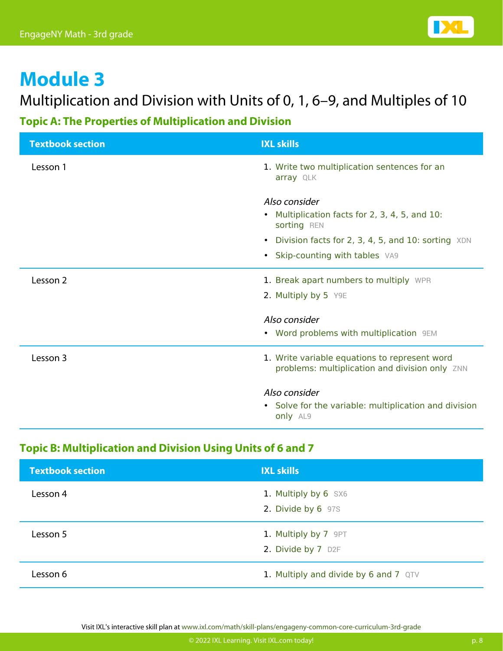### Multiplication and Division with Units of 0, 1, 6–9, and Multiples of 10

### **Topic A: The Properties of Multiplication and Division**

| <b>Textbook section</b> | <b>IXL skills</b>                                                                               |
|-------------------------|-------------------------------------------------------------------------------------------------|
| Lesson 1                | 1. Write two multiplication sentences for an<br>array QLK                                       |
|                         | Also consider<br>• Multiplication facts for 2, 3, 4, 5, and 10:<br>sorting REN                  |
|                         | Division facts for 2, 3, 4, 5, and 10: sorting XDN<br>$\bullet$                                 |
|                         | • Skip-counting with tables VA9                                                                 |
| Lesson 2                | 1. Break apart numbers to multiply WPR                                                          |
|                         | 2. Multiply by 5 Y9E                                                                            |
|                         | Also consider                                                                                   |
|                         | • Word problems with multiplication 9EM                                                         |
| Lesson 3                | 1. Write variable equations to represent word<br>problems: multiplication and division only ZNN |
|                         | Also consider<br>• Solve for the variable: multiplication and division<br>only AL9              |

### **Topic B: Multiplication and Division Using Units of 6 and 7**

| <b>Textbook section</b> | <b>IXL skills</b>                          |
|-------------------------|--------------------------------------------|
| Lesson 4                | 1. Multiply by 6 SX6<br>2. Divide by 6 97S |
| Lesson 5                | 1. Multiply by 7 9PT<br>2. Divide by 7 D2F |
| Lesson 6                | 1. Multiply and divide by 6 and 7 QTV      |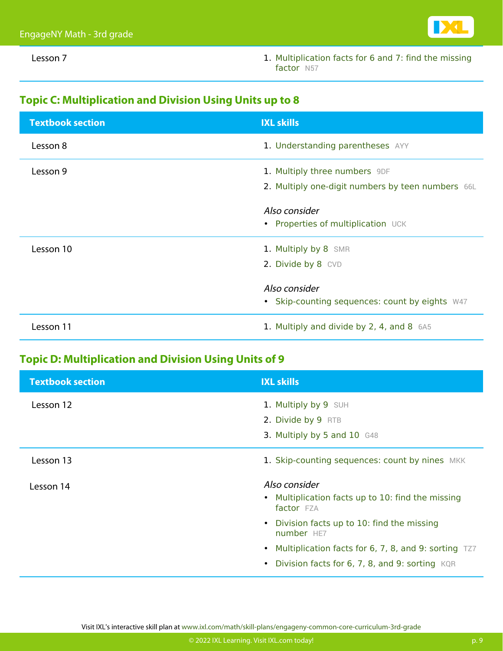

Lesson 7 1. [Multiplication facts for 6 and 7: find the missing](https://www.ixl.com/math/grade-3/multiplication-facts-for-6-and-7-find-the-missing-factor) [factor](https://www.ixl.com/math/grade-3/multiplication-facts-for-6-and-7-find-the-missing-factor) [N57](https://www.ixl.com/math/grade-3/multiplication-facts-for-6-and-7-find-the-missing-factor)

#### **Topic C: Multiplication and Division Using Units up to 8**

| <b>Textbook section</b> | <b>IXL skills</b>                                                                  |
|-------------------------|------------------------------------------------------------------------------------|
| Lesson 8                | 1. Understanding parentheses AYY                                                   |
| Lesson 9                | 1. Multiply three numbers 9DF<br>2. Multiply one-digit numbers by teen numbers 66L |
|                         | Also consider<br>• Properties of multiplication UCK                                |
| Lesson 10               | 1. Multiply by 8 SMR<br>2. Divide by 8 CVD                                         |
|                         | Also consider<br>• Skip-counting sequences: count by eights W47                    |
| Lesson 11               | 1. Multiply and divide by 2, 4, and 8 6A5                                          |

### **Topic D: Multiplication and Division Using Units of 9**

| <b>Textbook section</b> | <b>IXL skills</b>                                               |
|-------------------------|-----------------------------------------------------------------|
| Lesson 12               | 1. Multiply by 9 SUH                                            |
|                         | 2. Divide by 9 RTB                                              |
|                         | 3. Multiply by 5 and 10 G48                                     |
| Lesson 13               | 1. Skip-counting sequences: count by nines MKK                  |
| Lesson 14               | Also consider                                                   |
|                         | • Multiplication facts up to 10: find the missing<br>factor FZA |
|                         | • Division facts up to 10: find the missing<br>number HE7       |
|                         | • Multiplication facts for 6, 7, 8, and 9: sorting TZ7          |
|                         | • Division facts for 6, 7, 8, and 9: sorting KQR                |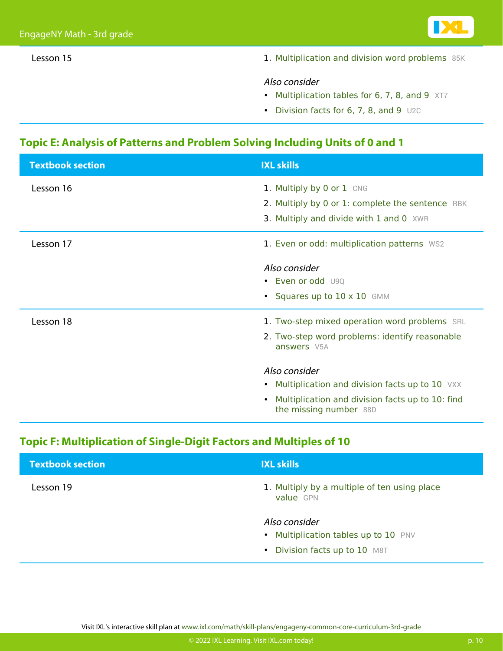- 
- Lesson 15 1. [Multiplication and division word problems](https://www.ixl.com/math/grade-3/multiplication-and-division-word-problems) [85K](https://www.ixl.com/math/grade-3/multiplication-and-division-word-problems)

#### Also consider

- [Multiplication tables for 6, 7, 8, and 9](https://www.ixl.com/math/grade-3/multiplication-tables-for-6-7-8-and-9) [XT7](https://www.ixl.com/math/grade-3/multiplication-tables-for-6-7-8-and-9)
- [Division facts for 6, 7, 8, and 9](https://www.ixl.com/math/grade-3/division-facts-for-6-7-8-and-9) [U2C](https://www.ixl.com/math/grade-3/division-facts-for-6-7-8-and-9)

#### **Topic E: Analysis of Patterns and Problem Solving Including Units of 0 and 1**

| <b>Textbook section</b> | <b>IXL skills</b>                                                                       |
|-------------------------|-----------------------------------------------------------------------------------------|
| Lesson 16               | 1. Multiply by 0 or 1 CNG                                                               |
|                         | 2. Multiply by 0 or 1: complete the sentence RBK                                        |
|                         | 3. Multiply and divide with 1 and 0 XWR                                                 |
| Lesson 17               | 1. Even or odd: multiplication patterns WS2                                             |
|                         | Also consider                                                                           |
|                         | • Even or odd U90                                                                       |
|                         | • Squares up to 10 x 10 GMM                                                             |
| Lesson 18               | 1. Two-step mixed operation word problems SRL                                           |
|                         | 2. Two-step word problems: identify reasonable<br>answers V5A                           |
|                         | Also consider                                                                           |
|                         | • Multiplication and division facts up to 10 VXX                                        |
|                         | Multiplication and division facts up to 10: find<br>$\bullet$<br>the missing number 88D |

#### **Topic F: Multiplication of Single-Digit Factors and Multiples of 10**

| <b>Textbook section</b> | <b>IXL skills</b>                                         |
|-------------------------|-----------------------------------------------------------|
| Lesson 19               | 1. Multiply by a multiple of ten using place<br>value GPN |
|                         | Also consider                                             |
|                         | • Multiplication tables up to 10 PNV                      |
|                         | Division facts up to 10 M8T<br>$\bullet$                  |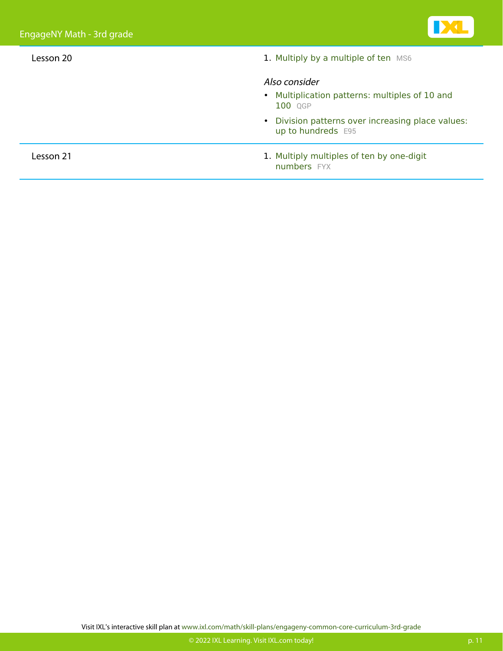| Lesson 20 | 1. Multiply by a multiple of ten MS6                                       |
|-----------|----------------------------------------------------------------------------|
|           | Also consider<br>• Multiplication patterns: multiples of 10 and<br>100 QGP |
|           | • Division patterns over increasing place values:<br>up to hundreds E95    |
| Lesson 21 | 1. Multiply multiples of ten by one-digit<br>numbers FYX                   |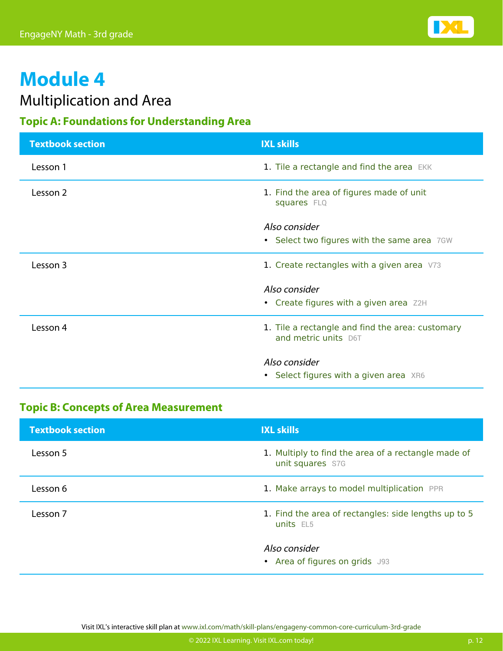

### Multiplication and Area

### **Topic A: Foundations for Understanding Area**

| <b>Textbook section</b> | <b>IXL skills</b>                                                        |
|-------------------------|--------------------------------------------------------------------------|
| Lesson 1                | 1. Tile a rectangle and find the area EKK                                |
| Lesson 2                | 1. Find the area of figures made of unit<br>squares FLQ                  |
|                         | Also consider                                                            |
|                         | • Select two figures with the same area 7GW                              |
| Lesson 3                | 1. Create rectangles with a given area $V73$                             |
|                         | Also consider                                                            |
|                         | • Create figures with a given area Z2H                                   |
| Lesson 4                | 1. Tile a rectangle and find the area: customary<br>and metric units D6T |
|                         | Also consider                                                            |
|                         | • Select figures with a given area XR6                                   |

### **Topic B: Concepts of Area Measurement**

| <b>Textbook section</b> | <b>IXL skills</b>                                                       |
|-------------------------|-------------------------------------------------------------------------|
| Lesson 5                | 1. Multiply to find the area of a rectangle made of<br>unit squares S7G |
| Lesson 6                | 1. Make arrays to model multiplication PPR                              |
| Lesson 7                | 1. Find the area of rectangles: side lengths up to 5<br>units EL5       |
|                         | Also consider<br>• Area of figures on grids J93                         |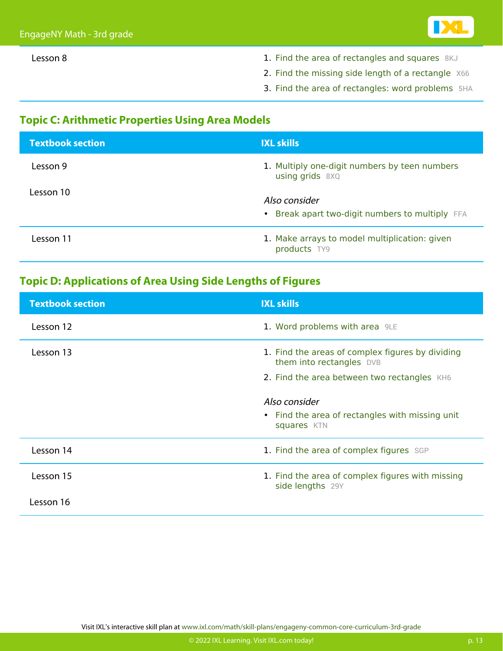- 
- Lesson 8 1. [Find the area of rectangles and squares](https://www.ixl.com/math/grade-3/find-the-area-of-rectangles-and-squares) [8KJ](https://www.ixl.com/math/grade-3/find-the-area-of-rectangles-and-squares)
	- 2. [Find the missing side length of a rectangle](https://www.ixl.com/math/grade-3/find-the-missing-side-length-of-a-rectangle) [X66](https://www.ixl.com/math/grade-3/find-the-missing-side-length-of-a-rectangle)
	- 3. [Find the area of rectangles: word problems](https://www.ixl.com/math/grade-3/find-the-area-of-rectangles-word-problems) [5HA](https://www.ixl.com/math/grade-3/find-the-area-of-rectangles-word-problems)

### **Topic C: Arithmetic Properties Using Area Models**

| <b>Textbook section</b> | <b>IXL skills</b>                                                    |
|-------------------------|----------------------------------------------------------------------|
| Lesson 9                | 1. Multiply one-digit numbers by teen numbers<br>$using grids$ $8XQ$ |
| Lesson 10               | Also consider<br>• Break apart two-digit numbers to multiply FFA     |
| Lesson 11               | 1. Make arrays to model multiplication: given<br>products TY9        |

#### **Topic D: Applications of Area Using Side Lengths of Figures**

| <b>Textbook section</b> | <b>IXL skills</b>                                                            |
|-------------------------|------------------------------------------------------------------------------|
| Lesson 12               | 1. Word problems with area 9LE                                               |
| Lesson 13               | 1. Find the areas of complex figures by dividing<br>them into rectangles DVB |
|                         | 2. Find the area between two rectangles KH6                                  |
|                         | Also consider<br>• Find the area of rectangles with missing unit             |
|                         | squares KTN                                                                  |
| Lesson 14               | 1. Find the area of complex figures SGP                                      |
| Lesson 15               | 1. Find the area of complex figures with missing<br>side lengths 29Y         |
| Lesson 16               |                                                                              |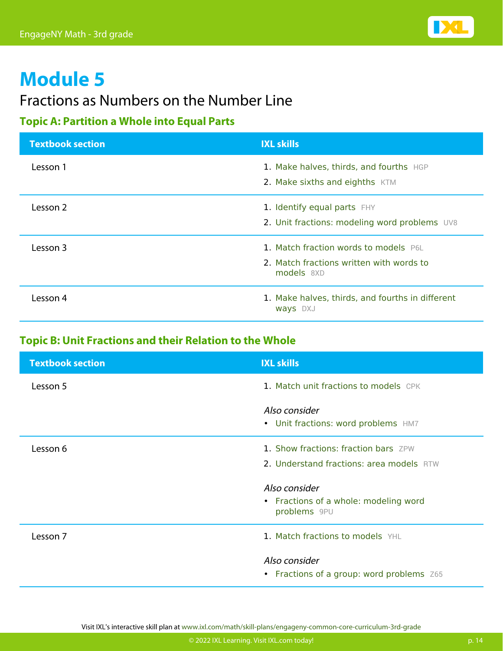

### Fractions as Numbers on the Number Line

### **Topic A: Partition a Whole into Equal Parts**

| <b>Textbook section</b> | <b>IXL skills</b>                                                                               |
|-------------------------|-------------------------------------------------------------------------------------------------|
| Lesson 1                | 1. Make halves, thirds, and fourths HGP<br>2. Make sixths and eighths KTM                       |
| Lesson 2                | 1. Identify equal parts FHY<br>2. Unit fractions: modeling word problems UV8                    |
| Lesson 3                | 1. Match fraction words to models P6L<br>2. Match fractions written with words to<br>models 8XD |
| Lesson 4                | 1. Make halves, thirds, and fourths in different<br><b>Ways</b> DXJ                             |

#### **Topic B: Unit Fractions and their Relation to the Whole**

| <b>Textbook section</b> | <b>IXL skills</b>                                          |
|-------------------------|------------------------------------------------------------|
| Lesson 5                | 1. Match unit fractions to models CPK                      |
|                         | Also consider<br>• Unit fractions: word problems HM7       |
| Lesson 6                | 1. Show fractions: fraction bars ZPW                       |
|                         | 2. Understand fractions: area models RTW                   |
|                         | Also consider                                              |
|                         | • Fractions of a whole: modeling word<br>problems 9PU      |
| Lesson 7                | 1. Match fractions to models YHL                           |
|                         | Also consider<br>• Fractions of a group: word problems Z65 |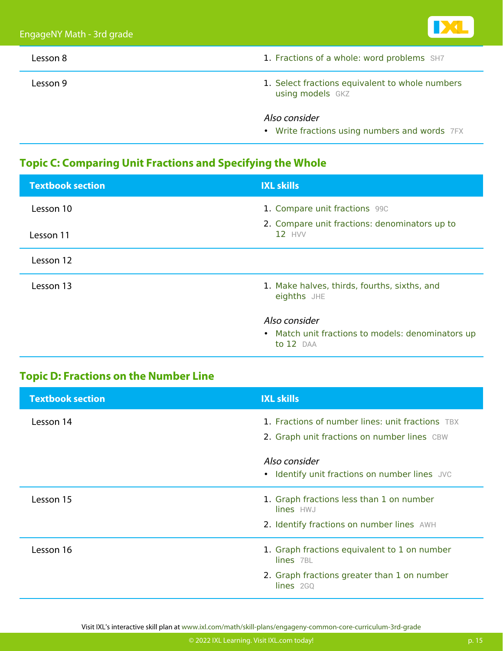| EngageNY Math - 3rd grade |                                                                     |
|---------------------------|---------------------------------------------------------------------|
| Lesson 8                  | 1. Fractions of a whole: word problems SH7                          |
| Lesson 9                  | 1. Select fractions equivalent to whole numbers<br>using models GKZ |
|                           | Also consider<br>• Write fractions using numbers and words 7FX      |

### **Topic C: Comparing Unit Fractions and Specifying the Whole**

| <b>Textbook section</b> | <b>IXL skills</b>                                              |
|-------------------------|----------------------------------------------------------------|
| Lesson 10               | 1. Compare unit fractions 990                                  |
| Lesson 11               | 2. Compare unit fractions: denominators up to<br>$12$ HVV      |
| Lesson 12               |                                                                |
| Lesson 13               | 1. Make halves, thirds, fourths, sixths, and<br>eighths JHE    |
|                         | Also consider                                                  |
|                         | • Match unit fractions to models: denominators up<br>to 12 DAA |

### **Topic D: Fractions on the Number Line**

| <b>Textbook section</b> | <b>IXL skills</b>                                                                                      |
|-------------------------|--------------------------------------------------------------------------------------------------------|
| Lesson 14               | <b>1. Fractions of number lines: unit fractions</b> TBX<br>2. Graph unit fractions on number lines CBW |
|                         | Also consider<br>• Identify unit fractions on number lines JVC                                         |
| Lesson 15               | 1. Graph fractions less than 1 on number<br>lines HWJ                                                  |
|                         | 2. Identify fractions on number lines AWH                                                              |
| Lesson 16               | 1. Graph fractions equivalent to 1 on number<br>$lines$ 7BL                                            |
|                         | 2. Graph fractions greater than 1 on number<br>$lines$ 2GQ                                             |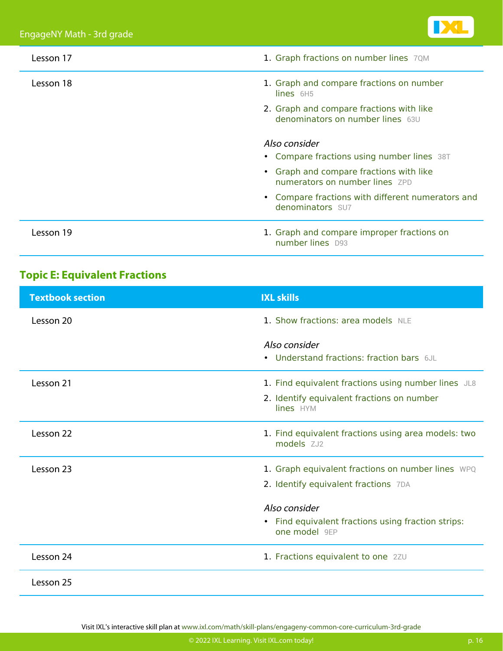

| Lesson 17 | 1. Graph fractions on number lines 70M                                       |
|-----------|------------------------------------------------------------------------------|
| Lesson 18 | 1. Graph and compare fractions on number<br>$lines$ 6H5                      |
|           | 2. Graph and compare fractions with like<br>denominators on number lines 63U |
|           | Also consider<br>• Compare fractions using number lines 38T                  |
|           | • Graph and compare fractions with like<br>numerators on number lines ZPD    |
|           | • Compare fractions with different numerators and<br>denominators SU7        |
| Lesson 19 | 1. Graph and compare improper fractions on<br>number lines D93               |

### **Topic E: Equivalent Fractions**

| <b>Textbook section</b> | <b>IXL skills</b>                                                   |
|-------------------------|---------------------------------------------------------------------|
| Lesson 20               | 1. Show fractions: area models NLE                                  |
|                         | Also consider<br>• Understand fractions: fraction bars 6JL          |
| Lesson 21               | 1. Find equivalent fractions using number lines JL8                 |
|                         | 2. Identify equivalent fractions on number<br>lines HYM             |
| Lesson 22               | 1. Find equivalent fractions using area models: two<br>models ZJ2   |
| Lesson 23               | 1. Graph equivalent fractions on number lines WPQ                   |
|                         | 2. Identify equivalent fractions 7DA                                |
|                         | Also consider                                                       |
|                         | • Find equivalent fractions using fraction strips:<br>one model 9EP |
| Lesson 24               | 1. Fractions equivalent to one 2ZU                                  |
| Lesson 25               |                                                                     |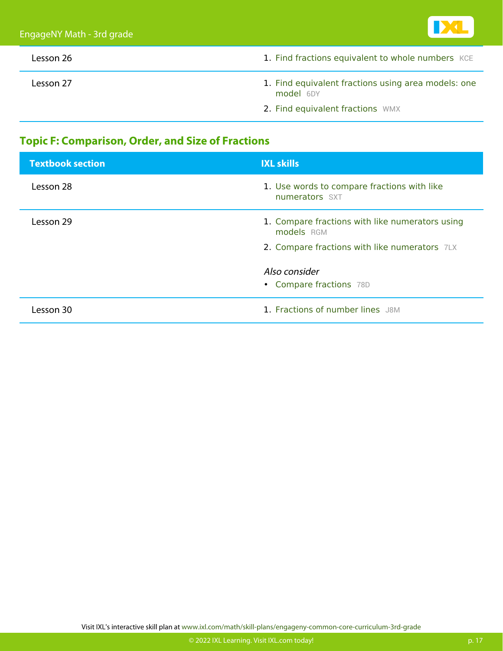

| Lesson 26 | 1. Find fractions equivalent to whole numbers KCE                |
|-----------|------------------------------------------------------------------|
| Lesson 27 | 1. Find equivalent fractions using area models: one<br>model 6DY |
|           | 2. Find equivalent fractions WMX                                 |

### **Topic F: Comparison, Order, and Size of Fractions**

| <b>Textbook section</b> | <b>IXL skills</b>                                             |
|-------------------------|---------------------------------------------------------------|
| Lesson 28               | 1. Use words to compare fractions with like<br>numerators SXT |
| Lesson 29               | 1. Compare fractions with like numerators using<br>models RGM |
|                         | 2. Compare fractions with like numerators 7LX                 |
|                         | Also consider                                                 |
|                         | • Compare fractions 78D                                       |
| Lesson 30               | 1. Fractions of number lines J8M                              |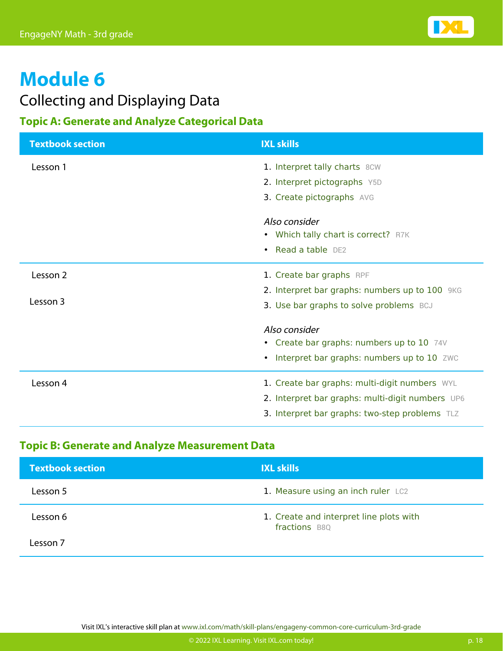

### Collecting and Displaying Data

### **Topic A: Generate and Analyze Categorical Data**

| <b>Textbook section</b> | <b>IXL skills</b>                                |
|-------------------------|--------------------------------------------------|
| Lesson 1                | 1. Interpret tally charts 8CW                    |
|                         | 2. Interpret pictographs Y5D                     |
|                         | 3. Create pictographs AVG                        |
|                         | Also consider                                    |
|                         | • Which tally chart is correct? R7K              |
|                         | • Read a table DE2                               |
| Lesson 2                | 1. Create bar graphs RPF                         |
|                         | 2. Interpret bar graphs: numbers up to 100 9KG   |
| Lesson 3                | 3. Use bar graphs to solve problems BCJ          |
|                         | Also consider                                    |
|                         | • Create bar graphs: numbers up to 10 74V        |
|                         | Interpret bar graphs: numbers up to 10 ZWC       |
| Lesson 4                | 1. Create bar graphs: multi-digit numbers WYL    |
|                         | 2. Interpret bar graphs: multi-digit numbers UP6 |
|                         | 3. Interpret bar graphs: two-step problems TLZ   |

### **Topic B: Generate and Analyze Measurement Data**

| <b>Textbook section</b> | <b>IXL skills</b>                                        |
|-------------------------|----------------------------------------------------------|
| Lesson 5                | 1. Measure using an inch ruler LC2                       |
| Lesson 6                | 1. Create and interpret line plots with<br>fractions B8Q |
| Lesson 7                |                                                          |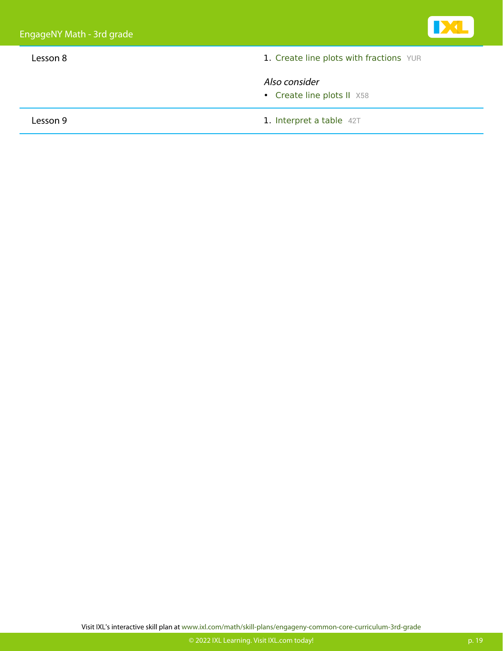

• [Create line plots II](https://www.ixl.com/math/grade-3/create-line-plots-ii) [X58](https://www.ixl.com/math/grade-3/create-line-plots-ii)

Lesson 9 1. [Interpret a table](https://www.ixl.com/math/grade-3/interpret-a-table) [42T](https://www.ixl.com/math/grade-3/interpret-a-table)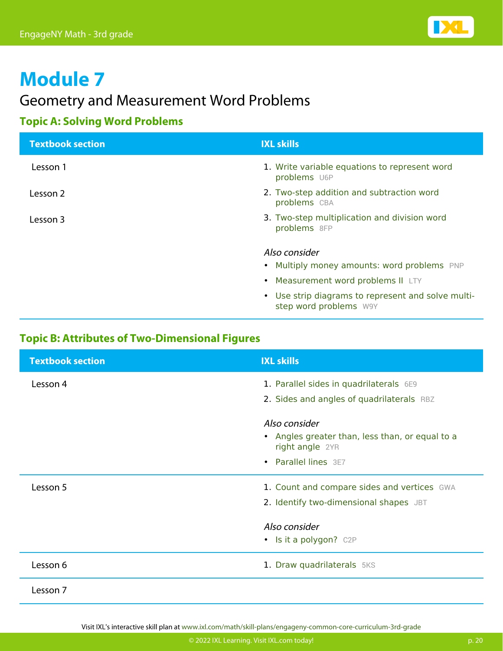

### Geometry and Measurement Word Problems

### **Topic A: Solving Word Problems**

| <b>Textbook section</b> | <b>IXL skills</b>                                                            |
|-------------------------|------------------------------------------------------------------------------|
| Lesson 1                | 1. Write variable equations to represent word<br>problems U6P                |
| Lesson 2                | 2. Two-step addition and subtraction word<br>problems CBA                    |
| Lesson 3                | 3. Two-step multiplication and division word<br>problems 8FP                 |
|                         | Also consider                                                                |
|                         | • Multiply money amounts: word problems PNP                                  |
|                         | • Measurement word problems II LTY                                           |
|                         | • Use strip diagrams to represent and solve multi-<br>step word problems W9Y |

### **Topic B: Attributes of Two-Dimensional Figures**

| <b>Textbook section</b> | <b>IXL skills</b>                                                  |
|-------------------------|--------------------------------------------------------------------|
| Lesson 4                | 1. Parallel sides in quadrilaterals 6E9                            |
|                         | 2. Sides and angles of quadrilaterals RBZ                          |
|                         | Also consider                                                      |
|                         | • Angles greater than, less than, or equal to a<br>right angle 2YR |
|                         | • Parallel lines 3E7                                               |
| Lesson 5                | 1. Count and compare sides and vertices GWA                        |
|                         | 2. Identify two-dimensional shapes JBT                             |
|                         | Also consider                                                      |
|                         | • Is it a polygon? C2P                                             |
| Lesson 6                | 1. Draw quadrilaterals 5KS                                         |
| Lesson 7                |                                                                    |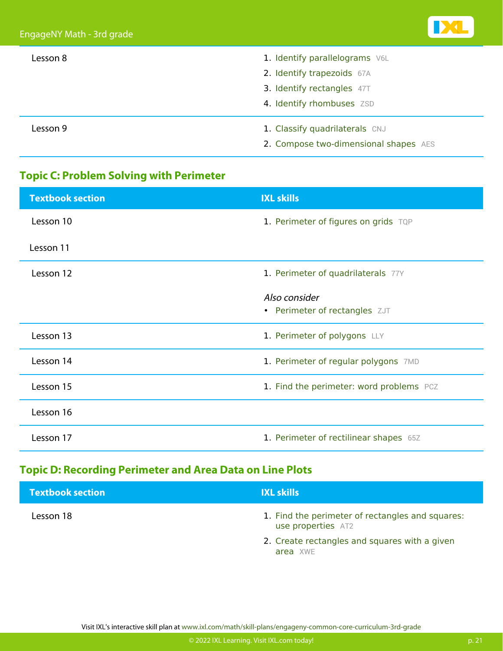| Lesson 8 | 1. Identify parallelograms V6L        |
|----------|---------------------------------------|
|          | 2. Identify trapezoids 67A            |
|          | 3. Identify rectangles 47T            |
|          | 4. Identify rhombuses ZSD             |
| Lesson 9 | 1. Classify quadrilaterals CNJ        |
|          | 2. Compose two-dimensional shapes AES |

### **Topic C: Problem Solving with Perimeter**

| <b>Textbook section</b> | <b>IXL skills</b>                        |
|-------------------------|------------------------------------------|
| Lesson 10               | 1. Perimeter of figures on grids TQP     |
| Lesson 11               |                                          |
| Lesson 12               | 1. Perimeter of quadrilaterals 77Y       |
|                         | Also consider                            |
|                         | • Perimeter of rectangles ZJT            |
|                         |                                          |
| Lesson 13               | 1. Perimeter of polygons LLY             |
| Lesson 14               | 1. Perimeter of regular polygons 7MD     |
|                         |                                          |
| Lesson 15               | 1. Find the perimeter: word problems PCZ |
| Lesson 16               |                                          |
|                         |                                          |
| Lesson 17               | 1. Perimeter of rectilinear shapes 65Z   |
|                         |                                          |

### **Topic D: Recording Perimeter and Area Data on Line Plots**

| <b>Textbook section</b> | <b>IXL skills</b>                                                      |
|-------------------------|------------------------------------------------------------------------|
| Lesson 18               | 1. Find the perimeter of rectangles and squares:<br>use properties AT2 |
|                         | 2. Create rectangles and squares with a given<br>area XWE              |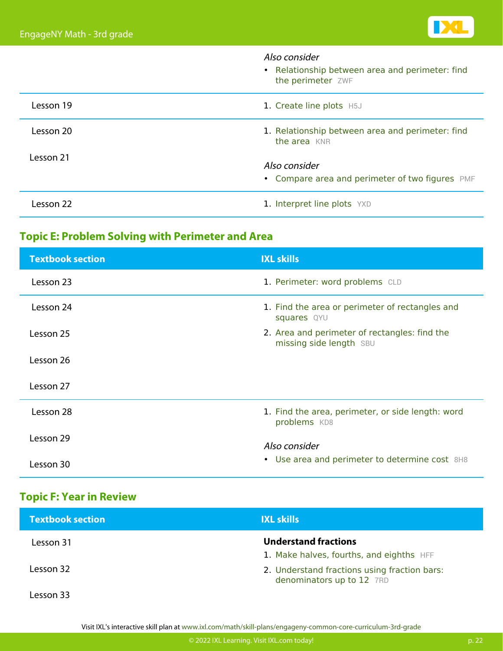|           | Also consider<br>• Relationship between area and perimeter: find<br>the perimeter ZWF |
|-----------|---------------------------------------------------------------------------------------|
| Lesson 19 | 1. Create line plots H5J                                                              |
| Lesson 20 | 1. Relationship between area and perimeter: find<br>the area KNR                      |
| Lesson 21 | Also consider<br>• Compare area and perimeter of two figures PMF                      |
| Lesson 22 | 1. Interpret line plots YXD                                                           |

### **Topic E: Problem Solving with Perimeter and Area**

| <b>Textbook section</b> | <b>IXL skills</b>                                                        |
|-------------------------|--------------------------------------------------------------------------|
| Lesson 23               | 1. Perimeter: word problems CLD                                          |
| Lesson 24               | 1. Find the area or perimeter of rectangles and<br>squares QYU           |
| Lesson 25               | 2. Area and perimeter of rectangles: find the<br>missing side length SBU |
| Lesson 26               |                                                                          |
| Lesson 27               |                                                                          |
| Lesson 28               | 1. Find the area, perimeter, or side length: word<br>problems KD8        |
| Lesson 29               | Also consider                                                            |
| Lesson 30               | • Use area and perimeter to determine cost 8H8                           |

### **Topic F: Year in Review**

| <b>Textbook section</b> | <b>IXL skills</b>                                                         |
|-------------------------|---------------------------------------------------------------------------|
| Lesson 31               | <b>Understand fractions</b><br>1. Make halves, fourths, and eighths HFF   |
| Lesson 32               | 2. Understand fractions using fraction bars:<br>denominators up to 12 7RD |
| esson 33                |                                                                           |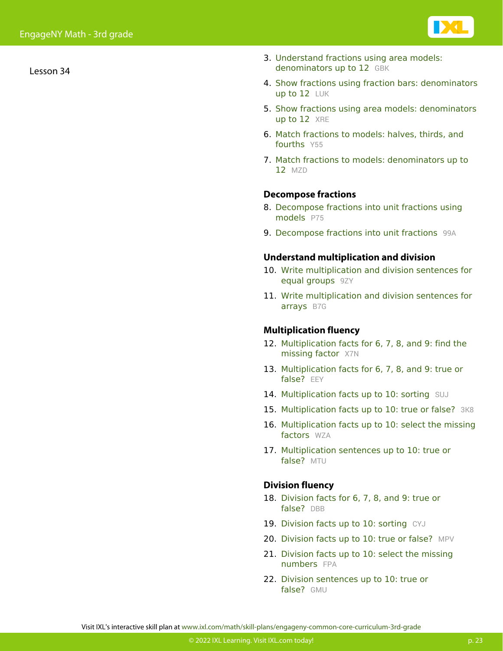Lesson 34

- 3. [Understand fractions using area models:](https://www.ixl.com/math/grade-3/understand-fractions-using-area-models-denominators-up-to-12) [denominators up to 12](https://www.ixl.com/math/grade-3/understand-fractions-using-area-models-denominators-up-to-12) [GBK](https://www.ixl.com/math/grade-3/understand-fractions-using-area-models-denominators-up-to-12)
- 4. [Show fractions using fraction bars: denominators](https://www.ixl.com/math/grade-3/show-fractions-using-fraction-bars-denominators-up-to-12) [up to 12](https://www.ixl.com/math/grade-3/show-fractions-using-fraction-bars-denominators-up-to-12) [LUK](https://www.ixl.com/math/grade-3/show-fractions-using-fraction-bars-denominators-up-to-12)
- 5. [Show fractions using area models: denominators](https://www.ixl.com/math/grade-3/show-fractions-using-area-models-denominators-up-to-12) [up to 12](https://www.ixl.com/math/grade-3/show-fractions-using-area-models-denominators-up-to-12) [XRE](https://www.ixl.com/math/grade-3/show-fractions-using-area-models-denominators-up-to-12)
- 6. [Match fractions to models: halves, thirds, and](https://www.ixl.com/math/grade-3/match-fractions-to-models-halves-thirds-and-fourths) [fourths](https://www.ixl.com/math/grade-3/match-fractions-to-models-halves-thirds-and-fourths) [Y55](https://www.ixl.com/math/grade-3/match-fractions-to-models-halves-thirds-and-fourths)
- 7. [Match fractions to models: denominators up to](https://www.ixl.com/math/grade-3/match-fractions-to-models-denominators-up-to-12) [12](https://www.ixl.com/math/grade-3/match-fractions-to-models-denominators-up-to-12) [MZD](https://www.ixl.com/math/grade-3/match-fractions-to-models-denominators-up-to-12)

#### **Decompose fractions**

- 8. [Decompose fractions into unit fractions using](https://www.ixl.com/math/grade-3/decompose-fractions-into-unit-fractions-using-models) [models](https://www.ixl.com/math/grade-3/decompose-fractions-into-unit-fractions-using-models) [P75](https://www.ixl.com/math/grade-3/decompose-fractions-into-unit-fractions-using-models)
- 9. [Decompose fractions into unit fractions](https://www.ixl.com/math/grade-3/decompose-fractions-into-unit-fractions) [99A](https://www.ixl.com/math/grade-3/decompose-fractions-into-unit-fractions)

#### **Understand multiplication and division**

- 10. [Write multiplication and division sentences for](https://www.ixl.com/math/grade-3/write-multiplication-and-division-sentences-for-equal-groups) [equal groups](https://www.ixl.com/math/grade-3/write-multiplication-and-division-sentences-for-equal-groups) [9ZY](https://www.ixl.com/math/grade-3/write-multiplication-and-division-sentences-for-equal-groups)
- 11. [Write multiplication and division sentences for](https://www.ixl.com/math/grade-3/write-multiplication-and-division-sentences-for-arrays) [arrays](https://www.ixl.com/math/grade-3/write-multiplication-and-division-sentences-for-arrays) [B7G](https://www.ixl.com/math/grade-3/write-multiplication-and-division-sentences-for-arrays)

#### **Multiplication fluency**

- 12. [Multiplication facts for 6, 7, 8, and 9: find the](https://www.ixl.com/math/grade-3/multiplication-facts-for-6-7-8-and-9-find-the-missing-factor) [missing factor](https://www.ixl.com/math/grade-3/multiplication-facts-for-6-7-8-and-9-find-the-missing-factor) [X7N](https://www.ixl.com/math/grade-3/multiplication-facts-for-6-7-8-and-9-find-the-missing-factor)
- 13. [Multiplication facts for 6, 7, 8, and 9: true or](https://www.ixl.com/math/grade-3/multiplication-facts-for-6-7-8-and-9-true-or-false) [false?](https://www.ixl.com/math/grade-3/multiplication-facts-for-6-7-8-and-9-true-or-false) [EEY](https://www.ixl.com/math/grade-3/multiplication-facts-for-6-7-8-and-9-true-or-false)
- 14. [Multiplication facts up to 10: sorting](https://www.ixl.com/math/grade-3/multiplication-facts-up-to-10-sorting) [SUJ](https://www.ixl.com/math/grade-3/multiplication-facts-up-to-10-sorting)
- 15. [Multiplication facts up to 10: true or false?](https://www.ixl.com/math/grade-3/multiplication-facts-up-to-10-true-or-false) [3K8](https://www.ixl.com/math/grade-3/multiplication-facts-up-to-10-true-or-false)
- 16. [Multiplication facts up to 10: select the missing](https://www.ixl.com/math/grade-3/multiplication-facts-up-to-10-select-the-missing-factors) [factors](https://www.ixl.com/math/grade-3/multiplication-facts-up-to-10-select-the-missing-factors) [WZA](https://www.ixl.com/math/grade-3/multiplication-facts-up-to-10-select-the-missing-factors)
- 17. [Multiplication sentences up to 10: true or](https://www.ixl.com/math/grade-3/multiplication-sentences-up-to-10-true-or-false) [false?](https://www.ixl.com/math/grade-3/multiplication-sentences-up-to-10-true-or-false) [MTU](https://www.ixl.com/math/grade-3/multiplication-sentences-up-to-10-true-or-false)

#### **Division fluency**

- 18. [Division facts for 6, 7, 8, and 9: true or](https://www.ixl.com/math/grade-3/division-facts-for-6-7-8-and-9-true-or-false) [false?](https://www.ixl.com/math/grade-3/division-facts-for-6-7-8-and-9-true-or-false) [DBB](https://www.ixl.com/math/grade-3/division-facts-for-6-7-8-and-9-true-or-false)
- 19. [Division facts up to 10: sorting](https://www.ixl.com/math/grade-3/division-facts-up-to-10-sorting) [CYJ](https://www.ixl.com/math/grade-3/division-facts-up-to-10-sorting)
- 20. [Division facts up to 10: true or false?](https://www.ixl.com/math/grade-3/division-facts-up-to-10-true-or-false) [MPV](https://www.ixl.com/math/grade-3/division-facts-up-to-10-true-or-false)
- 21. [Division facts up to 10: select the missing](https://www.ixl.com/math/grade-3/division-facts-up-to-10-select-the-missing-numbers) [numbers](https://www.ixl.com/math/grade-3/division-facts-up-to-10-select-the-missing-numbers) [FPA](https://www.ixl.com/math/grade-3/division-facts-up-to-10-select-the-missing-numbers)
- 22. [Division sentences up to 10: true or](https://www.ixl.com/math/grade-3/division-sentences-up-to-10-true-or-false) [false?](https://www.ixl.com/math/grade-3/division-sentences-up-to-10-true-or-false) [GMU](https://www.ixl.com/math/grade-3/division-sentences-up-to-10-true-or-false)